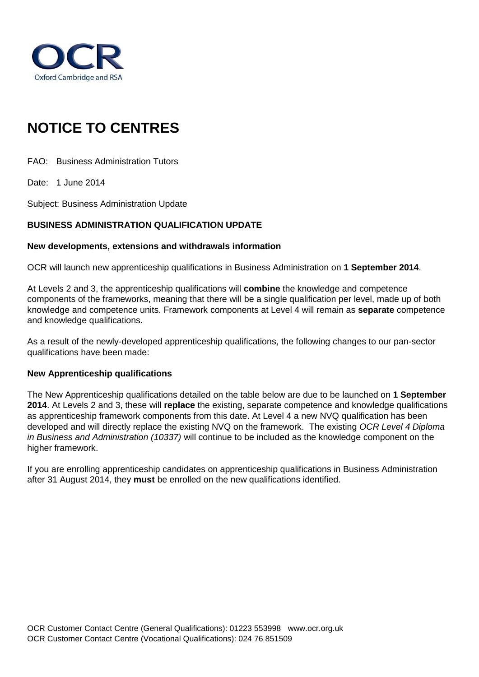

# **NOTICE TO CENTRES**

FAO: Business Administration Tutors

Date: 1 June 2014

Subject: Business Administration Update

## **BUSINESS ADMINISTRATION QUALIFICATION UPDATE**

#### **New developments, extensions and withdrawals information**

OCR will launch new apprenticeship qualifications in Business Administration on **1 September 2014**.

At Levels 2 and 3, the apprenticeship qualifications will **combine** the knowledge and competence components of the frameworks, meaning that there will be a single qualification per level, made up of both knowledge and competence units. Framework components at Level 4 will remain as **separate** competence and knowledge qualifications.

As a result of the newly-developed apprenticeship qualifications, the following changes to our pan-sector qualifications have been made:

#### **New Apprenticeship qualifications**

The New Apprenticeship qualifications detailed on the table below are due to be launched on **1 September 2014**. At Levels 2 and 3, these will **replace** the existing, separate competence and knowledge qualifications as apprenticeship framework components from this date. At Level 4 a new NVQ qualification has been developed and will directly replace the existing NVQ on the framework. The existing *OCR Level 4 Diploma in Business and Administration (10337)* will continue to be included as the knowledge component on the higher framework.

If you are enrolling apprenticeship candidates on apprenticeship qualifications in Business Administration after 31 August 2014, they **must** be enrolled on the new qualifications identified.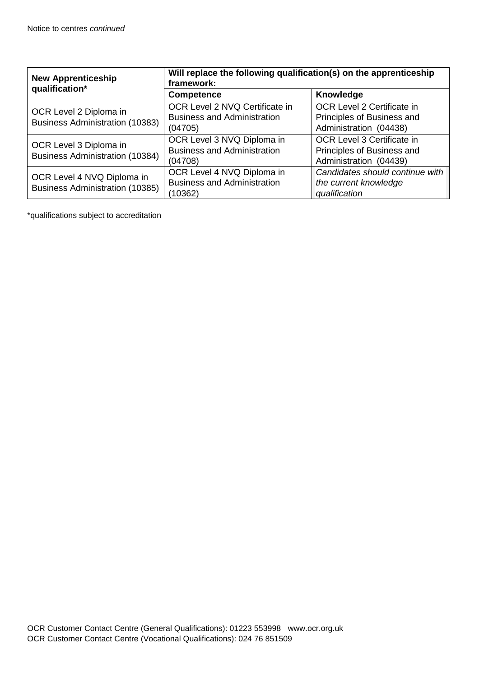| <b>New Apprenticeship</b><br>qualification*                          | Will replace the following qualification(s) on the apprenticeship<br>framework: |                                                                                                                                                                 |  |
|----------------------------------------------------------------------|---------------------------------------------------------------------------------|-----------------------------------------------------------------------------------------------------------------------------------------------------------------|--|
|                                                                      | <b>Competence</b>                                                               | Knowledge                                                                                                                                                       |  |
| OCR Level 2 Diploma in<br><b>Business Administration (10383)</b>     | OCR Level 2 NVQ Certificate in<br><b>Business and Administration</b><br>(04705) | OCR Level 2 Certificate in<br>Principles of Business and<br>Administration (04438)                                                                              |  |
| OCR Level 3 Diploma in<br><b>Business Administration (10384)</b>     | OCR Level 3 NVQ Diploma in<br><b>Business and Administration</b><br>(04708)     | OCR Level 3 Certificate in<br>Principles of Business and<br>Administration (04439)<br>Candidates should continue with<br>the current knowledge<br>qualification |  |
| OCR Level 4 NVQ Diploma in<br><b>Business Administration (10385)</b> | OCR Level 4 NVQ Diploma in<br><b>Business and Administration</b><br>(10362)     |                                                                                                                                                                 |  |

\*qualifications subject to accreditation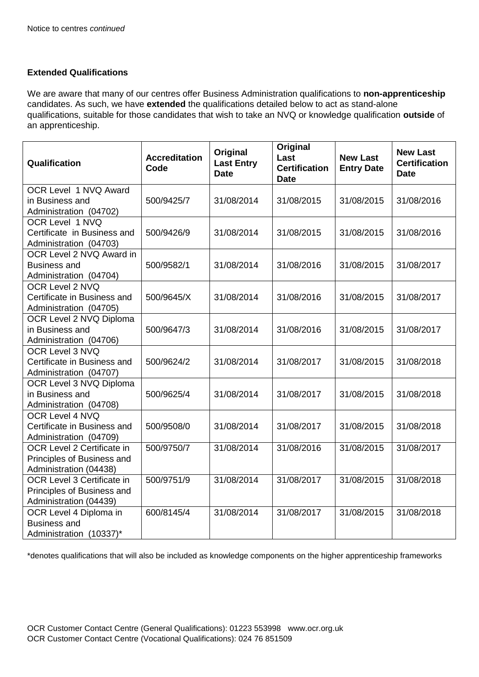## **Extended Qualifications**

We are aware that many of our centres offer Business Administration qualifications to **non-apprenticeship** candidates. As such, we have **extended** the qualifications detailed below to act as stand-alone qualifications, suitable for those candidates that wish to take an NVQ or knowledge qualification **outside** of an apprenticeship.

| Qualification                                                                      | <b>Accreditation</b><br>Code | Original<br><b>Last Entry</b><br><b>Date</b> | Original<br>Last<br><b>Certification</b><br><b>Date</b> | <b>New Last</b><br><b>Entry Date</b> | <b>New Last</b><br><b>Certification</b><br><b>Date</b> |
|------------------------------------------------------------------------------------|------------------------------|----------------------------------------------|---------------------------------------------------------|--------------------------------------|--------------------------------------------------------|
| OCR Level 1 NVQ Award<br>in Business and<br>Administration (04702)                 | 500/9425/7                   | 31/08/2014                                   | 31/08/2015                                              | 31/08/2015                           | 31/08/2016                                             |
| OCR Level 1 NVQ<br>Certificate in Business and<br>Administration (04703)           | 500/9426/9                   | 31/08/2014                                   | 31/08/2015                                              | 31/08/2015                           | 31/08/2016                                             |
| OCR Level 2 NVQ Award in<br><b>Business and</b><br>Administration (04704)          | 500/9582/1                   | 31/08/2014                                   | 31/08/2016                                              | 31/08/2015                           | 31/08/2017                                             |
| OCR Level 2 NVQ<br>Certificate in Business and<br>Administration (04705)           | 500/9645/X                   | 31/08/2014                                   | 31/08/2016                                              | 31/08/2015                           | 31/08/2017                                             |
| OCR Level 2 NVQ Diploma<br>in Business and<br>Administration (04706)               | 500/9647/3                   | 31/08/2014                                   | 31/08/2016                                              | 31/08/2015                           | 31/08/2017                                             |
| OCR Level 3 NVQ<br>Certificate in Business and<br>Administration (04707)           | 500/9624/2                   | 31/08/2014                                   | 31/08/2017                                              | 31/08/2015                           | 31/08/2018                                             |
| OCR Level 3 NVQ Diploma<br>in Business and<br>Administration (04708)               | 500/9625/4                   | 31/08/2014                                   | 31/08/2017                                              | 31/08/2015                           | 31/08/2018                                             |
| OCR Level 4 NVQ<br>Certificate in Business and<br>Administration (04709)           | 500/9508/0                   | 31/08/2014                                   | 31/08/2017                                              | 31/08/2015                           | 31/08/2018                                             |
| OCR Level 2 Certificate in<br>Principles of Business and<br>Administration (04438) | 500/9750/7                   | 31/08/2014                                   | 31/08/2016                                              | 31/08/2015                           | 31/08/2017                                             |
| OCR Level 3 Certificate in<br>Principles of Business and<br>Administration (04439) | 500/9751/9                   | 31/08/2014                                   | 31/08/2017                                              | 31/08/2015                           | 31/08/2018                                             |
| OCR Level 4 Diploma in<br><b>Business and</b><br>Administration (10337)*           | 600/8145/4                   | 31/08/2014                                   | 31/08/2017                                              | 31/08/2015                           | 31/08/2018                                             |

\*denotes qualifications that will also be included as knowledge components on the higher apprenticeship frameworks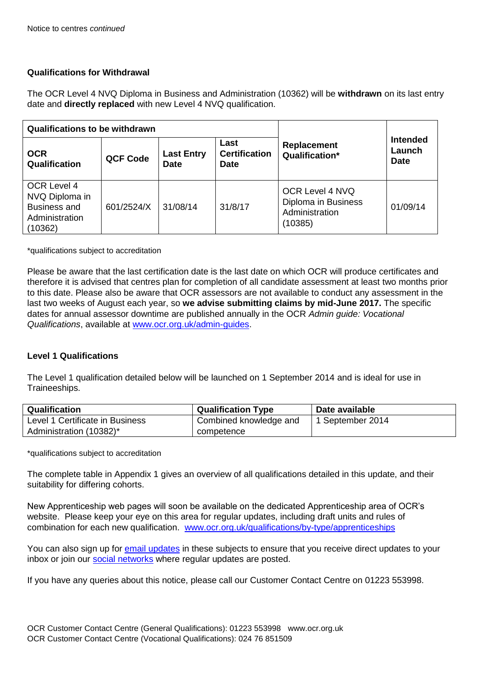### **Qualifications for Withdrawal**

The OCR Level 4 NVQ Diploma in Business and Administration (10362) will be **withdrawn** on its last entry date and **directly replaced** with new Level 4 NVQ qualification.

| <b>Qualifications to be withdrawn</b>                                             |                 |                                  |                                             |                                                                     |                                          |
|-----------------------------------------------------------------------------------|-----------------|----------------------------------|---------------------------------------------|---------------------------------------------------------------------|------------------------------------------|
| <b>OCR</b><br>Qualification                                                       | <b>QCF Code</b> | <b>Last Entry</b><br><b>Date</b> | Last<br><b>Certification</b><br><b>Date</b> | Replacement<br>Qualification*                                       | <b>Intended</b><br>Launch<br><b>Date</b> |
| OCR Level 4<br>NVQ Diploma in<br><b>Business and</b><br>Administration<br>(10362) | 601/2524/X      | 31/08/14                         | 31/8/17                                     | OCR Level 4 NVQ<br>Diploma in Business<br>Administration<br>(10385) | 01/09/14                                 |

\*qualifications subject to accreditation

Please be aware that the last certification date is the last date on which OCR will produce certificates and therefore it is advised that centres plan for completion of all candidate assessment at least two months prior to this date. Please also be aware that OCR assessors are not available to conduct any assessment in the last two weeks of August each year, so **we advise submitting claims by mid-June 2017.** The specific dates for annual assessor downtime are published annually in the OCR *Admin guide: Vocational Qualifications*, available at [www.ocr.org.uk/admin-guides.](http://www.ocr.org.uk/admin-guides)

#### **Level 1 Qualifications**

The Level 1 qualification detailed below will be launched on 1 September 2014 and is ideal for use in Traineeships.

| Qualification                   | <b>Qualification Type</b> | Date available   |
|---------------------------------|---------------------------|------------------|
| Level 1 Certificate in Business | Combined knowledge and    | 1 September 2014 |
| Administration (10382)*         | competence                |                  |

\*qualifications subject to accreditation

The complete table in Appendix 1 gives an overview of all qualifications detailed in this update, and their suitability for differing cohorts.

New Apprenticeship web pages will soon be available on the dedicated Apprenticeship area of OCR's website. Please keep your eye on this area for regular updates, including draft units and rules of combination for each new qualification. [www.ocr.org.uk/qualifications/by-type/apprenticeships](http://www.ocr.org.uk/qualifications/by-type/apprenticeships)

You can also sign up for [email updates](http://www.ocr.org.uk/i-want-to/do/email-updates/) in these subjects to ensure that you receive direct updates to your inbox or join our [social networks](http://www.ocr.org.uk/social/) where regular updates are posted.

If you have any queries about this notice, please call our Customer Contact Centre on 01223 553998.